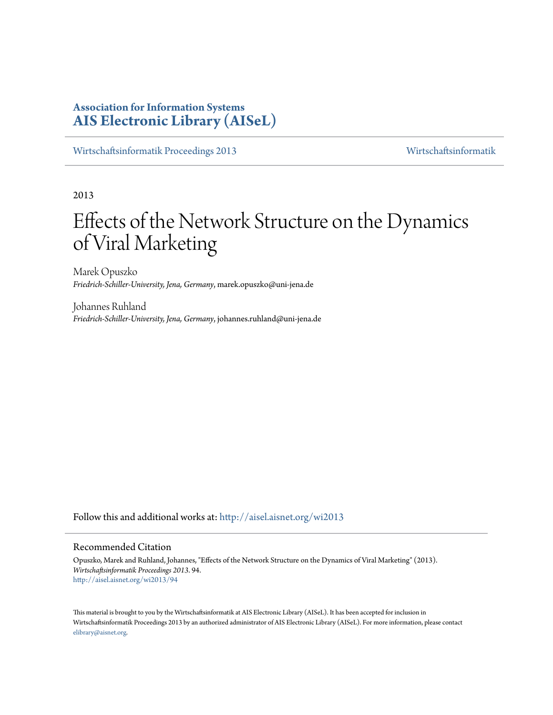# **Association for Information Systems [AIS Electronic Library \(AISeL\)](http://aisel.aisnet.org?utm_source=aisel.aisnet.org%2Fwi2013%2F94&utm_medium=PDF&utm_campaign=PDFCoverPages)**

[Wirtschaftsinformatik Proceedings 2013](http://aisel.aisnet.org/wi2013?utm_source=aisel.aisnet.org%2Fwi2013%2F94&utm_medium=PDF&utm_campaign=PDFCoverPages) [Wirtschaftsinformatik](http://aisel.aisnet.org/wi?utm_source=aisel.aisnet.org%2Fwi2013%2F94&utm_medium=PDF&utm_campaign=PDFCoverPages)

2013

# Effects of the Network Structure on the Dynamics of Viral Marketing

Marek Opuszko *Friedrich-Schiller-University, Jena, Germany*, marek.opuszko@uni-jena.de

Johannes Ruhland *Friedrich-Schiller-University, Jena, Germany*, johannes.ruhland@uni-jena.de

Follow this and additional works at: [http://aisel.aisnet.org/wi2013](http://aisel.aisnet.org/wi2013?utm_source=aisel.aisnet.org%2Fwi2013%2F94&utm_medium=PDF&utm_campaign=PDFCoverPages)

#### Recommended Citation

Opuszko, Marek and Ruhland, Johannes, "Effects of the Network Structure on the Dynamics of Viral Marketing" (2013). *Wirtschaftsinformatik Proceedings 2013*. 94. [http://aisel.aisnet.org/wi2013/94](http://aisel.aisnet.org/wi2013/94?utm_source=aisel.aisnet.org%2Fwi2013%2F94&utm_medium=PDF&utm_campaign=PDFCoverPages)

This material is brought to you by the Wirtschaftsinformatik at AIS Electronic Library (AISeL). It has been accepted for inclusion in Wirtschaftsinformatik Proceedings 2013 by an authorized administrator of AIS Electronic Library (AISeL). For more information, please contact [elibrary@aisnet.org.](mailto:elibrary@aisnet.org%3E)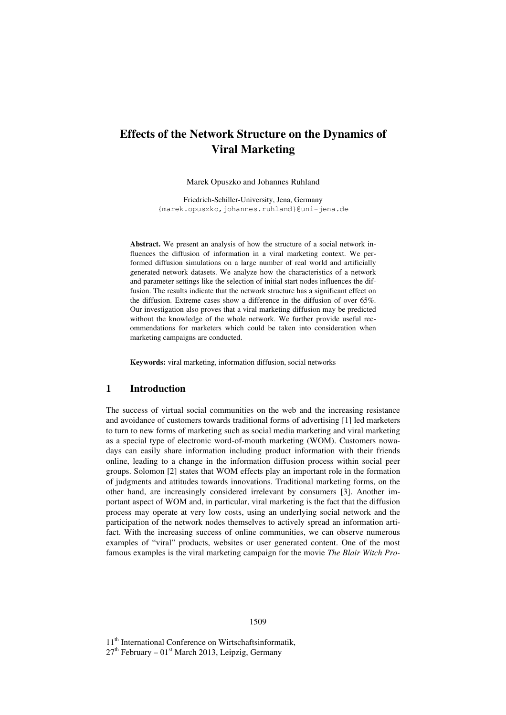# **Effects of the Network Structure on the Dynamics of Viral Marketing**

Marek Opuszko and Johannes Ruhland

Friedrich-Schiller-University, Jena, Germany {marek.opuszko,johannes.ruhland}@uni-jena.de

**Abstract.** We present an analysis of how the structure of a social network influences the diffusion of information in a viral marketing context. We performed diffusion simulations on a large number of real world and artificially generated network datasets. We analyze how the characteristics of a network and parameter settings like the selection of initial start nodes influences the diffusion. The results indicate that the network structure has a significant effect on the diffusion. Extreme cases show a difference in the diffusion of over 65%. Our investigation also proves that a viral marketing diffusion may be predicted without the knowledge of the whole network. We further provide useful recommendations for marketers which could be taken into consideration when marketing campaigns are conducted.

**Keywords:** viral marketing, information diffusion, social networks

## **1 Introduction**

The success of virtual social communities on the web and the increasing resistance and avoidance of customers towards traditional forms of advertising [1] led marketers to turn to new forms of marketing such as social media marketing and viral marketing as a special type of electronic word-of-mouth marketing (WOM). Customers nowadays can easily share information including product information with their friends online, leading to a change in the information diffusion process within social peer groups. Solomon [2] states that WOM effects play an important role in the formation of judgments and attitudes towards innovations. Traditional marketing forms, on the other hand, are increasingly considered irrelevant by consumers [3]. Another important aspect of WOM and, in particular, viral marketing is the fact that the diffusion process may operate at very low costs, using an underlying social network and the participation of the network nodes themselves to actively spread an information artifact. With the increasing success of online communities, we can observe numerous examples of "viral" products, websites or user generated content. One of the most famous examples is the viral marketing campaign for the movie *The Blair Witch Pro-*

11<sup>th</sup> International Conference on Wirtschaftsinformatik,  $27<sup>th</sup>$  February –  $01<sup>st</sup>$  March 2013, Leipzig, Germany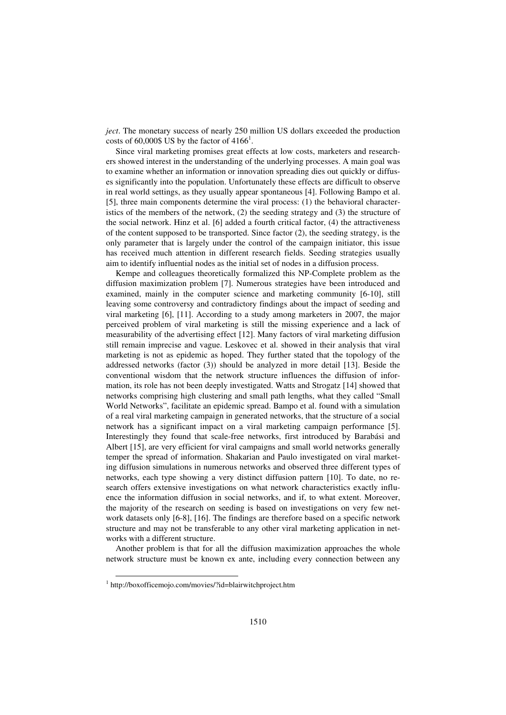*ject*. The monetary success of nearly 250 million US dollars exceeded the production costs of 60,000\$ US by the factor of  $4166^1$ .

Since viral marketing promises great effects at low costs, marketers and researchers showed interest in the understanding of the underlying processes. A main goal was to examine whether an information or innovation spreading dies out quickly or diffuses significantly into the population. Unfortunately these effects are difficult to observe in real world settings, as they usually appear spontaneous [4]. Following Bampo et al. [5], three main components determine the viral process: (1) the behavioral characteristics of the members of the network, (2) the seeding strategy and (3) the structure of the social network. Hinz et al. [6] added a fourth critical factor, (4) the attractiveness of the content supposed to be transported. Since factor (2), the seeding strategy, is the only parameter that is largely under the control of the campaign initiator, this issue has received much attention in different research fields. Seeding strategies usually aim to identify influential nodes as the initial set of nodes in a diffusion process.

Kempe and colleagues theoretically formalized this NP-Complete problem as the diffusion maximization problem [7]. Numerous strategies have been introduced and examined, mainly in the computer science and marketing community [6-10], still leaving some controversy and contradictory findings about the impact of seeding and viral marketing [6], [11]. According to a study among marketers in 2007, the major perceived problem of viral marketing is still the missing experience and a lack of measurability of the advertising effect [12]. Many factors of viral marketing diffusion still remain imprecise and vague. Leskovec et al. showed in their analysis that viral marketing is not as epidemic as hoped. They further stated that the topology of the addressed networks (factor (3)) should be analyzed in more detail [13]. Beside the conventional wisdom that the network structure influences the diffusion of information, its role has not been deeply investigated. Watts and Strogatz [14] showed that networks comprising high clustering and small path lengths, what they called "Small World Networks", facilitate an epidemic spread. Bampo et al. found with a simulation of a real viral marketing campaign in generated networks, that the structure of a social network has a significant impact on a viral marketing campaign performance [5]. Interestingly they found that scale-free networks, first introduced by Barabási and Albert [15], are very efficient for viral campaigns and small world networks generally temper the spread of information. Shakarian and Paulo investigated on viral marketing diffusion simulations in numerous networks and observed three different types of networks, each type showing a very distinct diffusion pattern [10]. To date, no research offers extensive investigations on what network characteristics exactly influence the information diffusion in social networks, and if, to what extent. Moreover, the majority of the research on seeding is based on investigations on very few network datasets only [6-8], [16]. The findings are therefore based on a specific network structure and may not be transferable to any other viral marketing application in networks with a different structure.

Another problem is that for all the diffusion maximization approaches the whole network structure must be known ex ante, including every connection between any

l

<sup>&</sup>lt;sup>1</sup> http://boxofficemojo.com/movies/?id=blairwitchproject.htm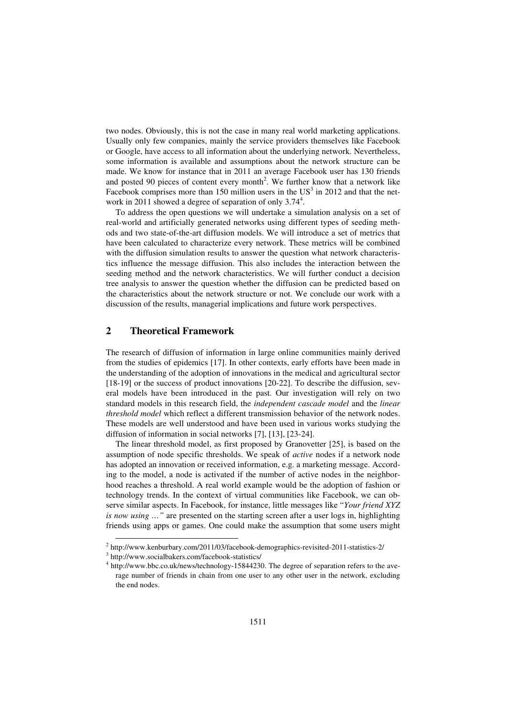two nodes. Obviously, this is not the case in many real world marketing applications. Usually only few companies, mainly the service providers themselves like Facebook or Google, have access to all information about the underlying network. Nevertheless, some information is available and assumptions about the network structure can be made. We know for instance that in 2011 an average Facebook user has 130 friends and posted 90 pieces of content every month<sup>2</sup>. We further know that a network like Facebook comprises more than 150 million users in the  $US<sup>3</sup>$  in 2012 and that the network in 2011 showed a degree of separation of only 3.74<sup>4</sup>.

To address the open questions we will undertake a simulation analysis on a set of real-world and artificially generated networks using different types of seeding methods and two state-of-the-art diffusion models. We will introduce a set of metrics that have been calculated to characterize every network. These metrics will be combined with the diffusion simulation results to answer the question what network characteristics influence the message diffusion. This also includes the interaction between the seeding method and the network characteristics. We will further conduct a decision tree analysis to answer the question whether the diffusion can be predicted based on the characteristics about the network structure or not. We conclude our work with a discussion of the results, managerial implications and future work perspectives.

# **2 Theoretical Framework**

The research of diffusion of information in large online communities mainly derived from the studies of epidemics [17]. In other contexts, early efforts have been made in the understanding of the adoption of innovations in the medical and agricultural sector [18-19] or the success of product innovations [20-22]. To describe the diffusion, several models have been introduced in the past. Our investigation will rely on two standard models in this research field, the *independent cascade model* and the *linear threshold model* which reflect a different transmission behavior of the network nodes. These models are well understood and have been used in various works studying the diffusion of information in social networks [7], [13], [23-24].

The linear threshold model, as first proposed by Granovetter [25], is based on the assumption of node specific thresholds. We speak of *active* nodes if a network node has adopted an innovation or received information, e.g. a marketing message. According to the model, a node is activated if the number of active nodes in the neighborhood reaches a threshold. A real world example would be the adoption of fashion or technology trends. In the context of virtual communities like Facebook, we can observe similar aspects. In Facebook, for instance, little messages like "*Your friend XYZ is now using …"* are presented on the starting screen after a user logs in, highlighting friends using apps or games. One could make the assumption that some users might

 2 http://www.kenburbary.com/2011/03/facebook-demographics-revisited-2011-statistics-2/

<sup>3</sup> http://www.socialbakers.com/facebook-statistics/

<sup>&</sup>lt;sup>4</sup> http://www.bbc.co.uk/news/technology-15844230. The degree of separation refers to the average number of friends in chain from one user to any other user in the network, excluding the end nodes.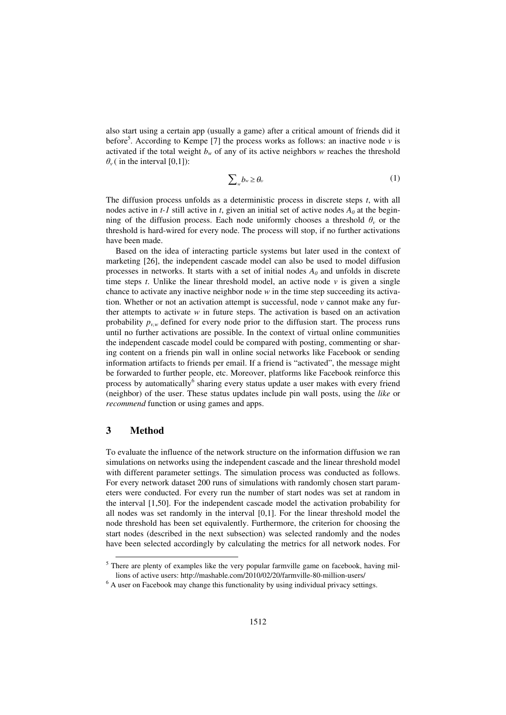also start using a certain app (usually a game) after a critical amount of friends did it before<sup>5</sup>. According to Kempe [7] the process works as follows: an inactive node  $v$  is activated if the total weight  $b_w$  of any of its active neighbors  $w$  reaches the threshold  $\theta_{\nu}$  ( in the interval [0,1]):

$$
\sum_{w} b_{w} \ge \theta_{v} \tag{1}
$$

The diffusion process unfolds as a deterministic process in discrete steps *t*, with all nodes active in  $t$ -1 still active in  $t$ , given an initial set of active nodes  $A_0$  at the beginning of the diffusion process. Each node uniformly chooses a threshold  $\theta$ <sup>*v*</sup> or the threshold is hard-wired for every node. The process will stop, if no further activations have been made.

Based on the idea of interacting particle systems but later used in the context of marketing [26], the independent cascade model can also be used to model diffusion processes in networks. It starts with a set of initial nodes  $A_0$  and unfolds in discrete time steps  $t$ . Unlike the linear threshold model, an active node  $\nu$  is given a single chance to activate any inactive neighbor node *w* in the time step succeeding its activation. Whether or not an activation attempt is successful, node *v* cannot make any further attempts to activate *w* in future steps. The activation is based on an activation probability  $p_{vw}$  defined for every node prior to the diffusion start. The process runs until no further activations are possible. In the context of virtual online communities the independent cascade model could be compared with posting, commenting or sharing content on a friends pin wall in online social networks like Facebook or sending information artifacts to friends per email. If a friend is "activated", the message might be forwarded to further people, etc. Moreover, platforms like Facebook reinforce this process by automatically<sup>6</sup> sharing every status update a user makes with every friend (neighbor) of the user. These status updates include pin wall posts, using the *like* or *recommend* function or using games and apps.

# **3 Method**

l

To evaluate the influence of the network structure on the information diffusion we ran simulations on networks using the independent cascade and the linear threshold model with different parameter settings. The simulation process was conducted as follows. For every network dataset 200 runs of simulations with randomly chosen start parameters were conducted. For every run the number of start nodes was set at random in the interval [1,50]. For the independent cascade model the activation probability for all nodes was set randomly in the interval [0,1]. For the linear threshold model the node threshold has been set equivalently. Furthermore, the criterion for choosing the start nodes (described in the next subsection) was selected randomly and the nodes have been selected accordingly by calculating the metrics for all network nodes. For

 $<sup>5</sup>$  There are plenty of examples like the very popular farmville game on facebook, having mil-</sup> lions of active users: http://mashable.com/2010/02/20/farmville-80-million-users/

 $6$  A user on Facebook may change this functionality by using individual privacy settings.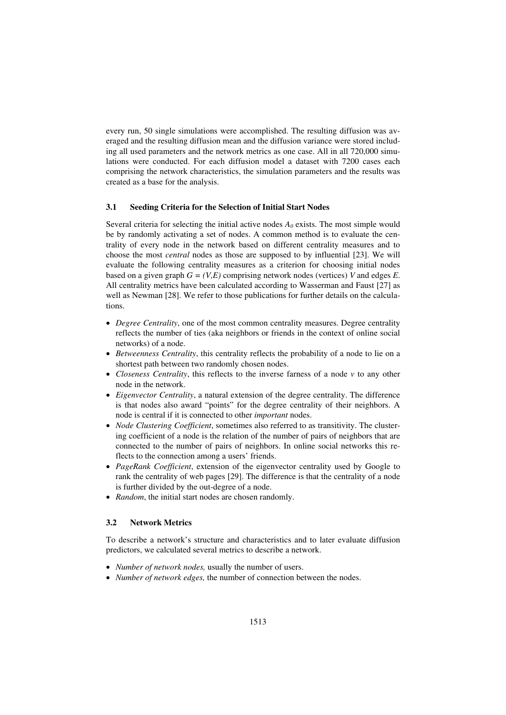every run, 50 single simulations were accomplished. The resulting diffusion was averaged and the resulting diffusion mean and the diffusion variance were stored including all used parameters and the network metrics as one case. All in all 720,000 simulations were conducted. For each diffusion model a dataset with 7200 cases each comprising the network characteristics, the simulation parameters and the results was created as a base for the analysis.

#### **3.1 Seeding Criteria for the Selection of Initial Start Nodes**

Several criteria for selecting the initial active nodes  $A_0$  exists. The most simple would be by randomly activating a set of nodes. A common method is to evaluate the centrality of every node in the network based on different centrality measures and to choose the most *central* nodes as those are supposed to by influential [23]. We will evaluate the following centrality measures as a criterion for choosing initial nodes based on a given graph  $G = (V, E)$  comprising network nodes (vertices) *V* and edges *E*. All centrality metrics have been calculated according to Wasserman and Faust [27] as well as Newman [28]. We refer to those publications for further details on the calculations.

- *Degree Centrality*, one of the most common centrality measures. Degree centrality reflects the number of ties (aka neighbors or friends in the context of online social networks) of a node.
- *Betweenness Centrality*, this centrality reflects the probability of a node to lie on a shortest path between two randomly chosen nodes.
- *Closeness Centrality*, this reflects to the inverse farness of a node *v* to any other node in the network.
- *Eigenvector Centrality*, a natural extension of the degree centrality. The difference is that nodes also award "points" for the degree centrality of their neighbors. A node is central if it is connected to other *important* nodes.
- *Node Clustering Coefficient*, sometimes also referred to as transitivity. The clustering coefficient of a node is the relation of the number of pairs of neighbors that are connected to the number of pairs of neighbors. In online social networks this reflects to the connection among a users' friends.
- *PageRank Coefficient*, extension of the eigenvector centrality used by Google to rank the centrality of web pages [29]. The difference is that the centrality of a node is further divided by the out-degree of a node.
- *Random*, the initial start nodes are chosen randomly.

#### **3.2 Network Metrics**

To describe a network's structure and characteristics and to later evaluate diffusion predictors, we calculated several metrics to describe a network.

- *Number of network nodes*, usually the number of users.
- *Number of network edges,* the number of connection between the nodes.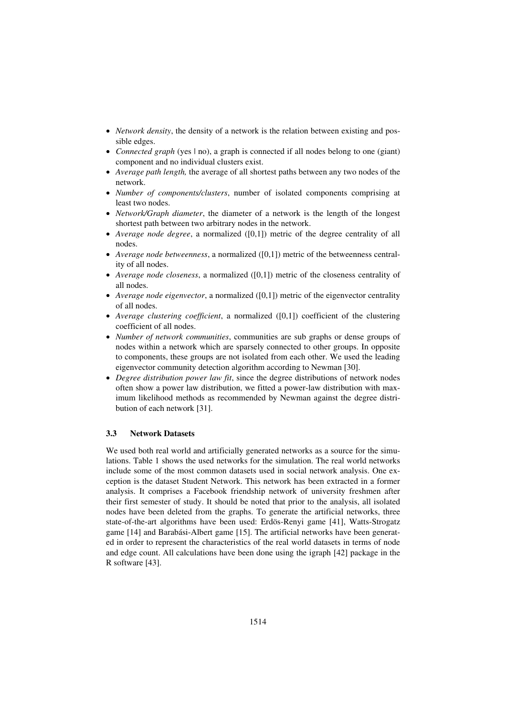- *Network density*, the density of a network is the relation between existing and possible edges.
- *Connected graph* (yes  $| \text{no} \rangle$ , a graph is connected if all nodes belong to one (giant) component and no individual clusters exist.
- *Average path length,* the average of all shortest paths between any two nodes of the network.
- *Number of components/clusters*, number of isolated components comprising at least two nodes.
- *Network/Graph diameter*, the diameter of a network is the length of the longest shortest path between two arbitrary nodes in the network.
- *Average node degree*, a normalized ([0,1]) metric of the degree centrality of all nodes.
- *Average node betweenness*, a normalized ([0,1]) metric of the betweenness centrality of all nodes.
- *Average node closeness*, a normalized ([0,1]) metric of the closeness centrality of all nodes.
- *Average node eigenvector*, a normalized ([0,1]) metric of the eigenvector centrality of all nodes.
- *Average clustering coefficient*, a normalized ([0,1]) coefficient of the clustering coefficient of all nodes.
- *Number of network communities*, communities are sub graphs or dense groups of nodes within a network which are sparsely connected to other groups. In opposite to components, these groups are not isolated from each other. We used the leading eigenvector community detection algorithm according to Newman [30].
- *Degree distribution power law fit*, since the degree distributions of network nodes often show a power law distribution, we fitted a power-law distribution with maximum likelihood methods as recommended by Newman against the degree distribution of each network [31].

#### **3.3 Network Datasets**

We used both real world and artificially generated networks as a source for the simulations. Table 1 shows the used networks for the simulation. The real world networks include some of the most common datasets used in social network analysis. One exception is the dataset Student Network. This network has been extracted in a former analysis. It comprises a Facebook friendship network of university freshmen after their first semester of study. It should be noted that prior to the analysis, all isolated nodes have been deleted from the graphs. To generate the artificial networks, three state-of-the-art algorithms have been used: Erdös-Renyi game [41], Watts-Strogatz game [14] and Barabási-Albert game [15]. The artificial networks have been generated in order to represent the characteristics of the real world datasets in terms of node and edge count. All calculations have been done using the igraph [42] package in the R software [43].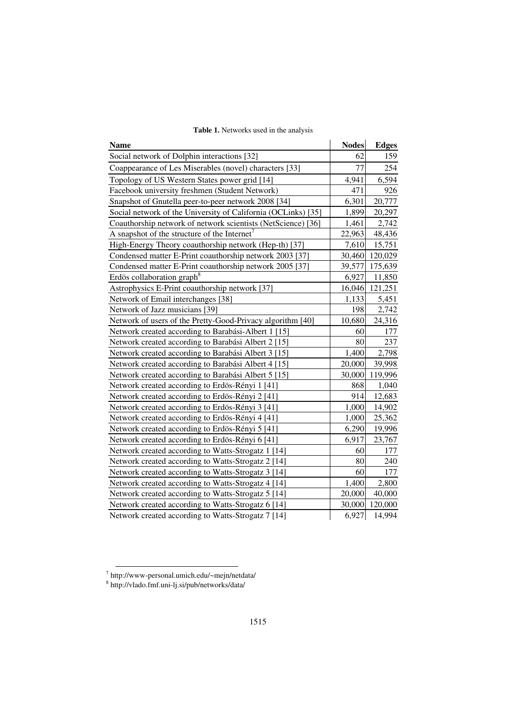| <b>Table 1.</b> Networks used in the analysis |  |
|-----------------------------------------------|--|
|-----------------------------------------------|--|

| <b>Name</b>                                                   | <b>Nodes</b> | <b>Edges</b> |
|---------------------------------------------------------------|--------------|--------------|
| Social network of Dolphin interactions [32]                   | 62           | 159          |
| Coappearance of Les Miserables (novel) characters [33]        | 77           | 254          |
| Topology of US Western States power grid [14]                 | 4,941        | 6,594        |
| Facebook university freshmen (Student Network)                | 471          | 926          |
| Snapshot of Gnutella peer-to-peer network 2008 [34]           | 6,301        | 20,777       |
| Social network of the University of California (OCLinks) [35] | 1,899        | 20,297       |
| Coauthorship network of network scientists (NetScience) [36]  | 1,461        | 2,742        |
| A snapshot of the structure of the Internet <sup>7</sup>      | 22,963       | 48,436       |
| High-Energy Theory coauthorship network (Hep-th) [37]         | 7,610        | 15,751       |
| Condensed matter E-Print coauthorship network 2003 [37]       | 30,460       | 120,029      |
| Condensed matter E-Print coauthorship network 2005 [37]       | 39,577       | 175,639      |
| Erdös collaboration graph <sup>8</sup>                        | 6,927        | 11,850       |
| Astrophysics E-Print coauthorship network [37]                | 16,046       | 121,251      |
| Network of Email interchanges [38]                            | 1,133        | 5,451        |
| Network of Jazz musicians [39]                                | 198          | 2,742        |
| Network of users of the Pretty-Good-Privacy algorithm [40]    | 10,680       | 24,316       |
| Network created according to Barabási-Albert 1 [15]           | 60           | 177          |
| Network created according to Barabási Albert 2 [15]           | 80           | 237          |
| Network created according to Barabási Albert 3 [15]           | 1,400        | 2,798        |
| Network created according to Barabási Albert 4 [15]           | 20,000       | 39,998       |
| Network created according to Barabási Albert 5 [15]           | 30,000       | 119,996      |
| Network created according to Erdös-Rényi 1 [41]               | 868          | 1,040        |
| Network created according to Erdös-Rényi 2 [41]               | 914          | 12,683       |
| Network created according to Erdös-Rényi 3 [41]               | 1,000        | 14,902       |
| Network created according to Erdös-Rényi 4 [41]               | 1,000        | 25,362       |
| Network created according to Erdös-Rényi 5 [41]               | 6,290        | 19,996       |
| Network created according to Erdös-Rényi 6 [41]               | 6,917        | 23,767       |
| Network created according to Watts-Strogatz 1 [14]            | 60           | 177          |
| Network created according to Watts-Strogatz 2 [14]            | 80           | 240          |
| Network created according to Watts-Strogatz 3 [14]            | 60           | 177          |
| Network created according to Watts-Strogatz 4 [14]            | 1,400        | 2,800        |
| Network created according to Watts-Strogatz 5 [14]            | 20,000       | 40,000       |
| Network created according to Watts-Strogatz 6 [14]            | 30,000       | 120,000      |
| Network created according to Watts-Strogatz 7 [14]            | 6,927        | 14,994       |

<sup>7&</sup>lt;br>
http://www-personal.umich.edu/~mejn/netdata/<br>
<sup>8</sup> http://vlado.fmf.uni-lj.si/pub/networks/data/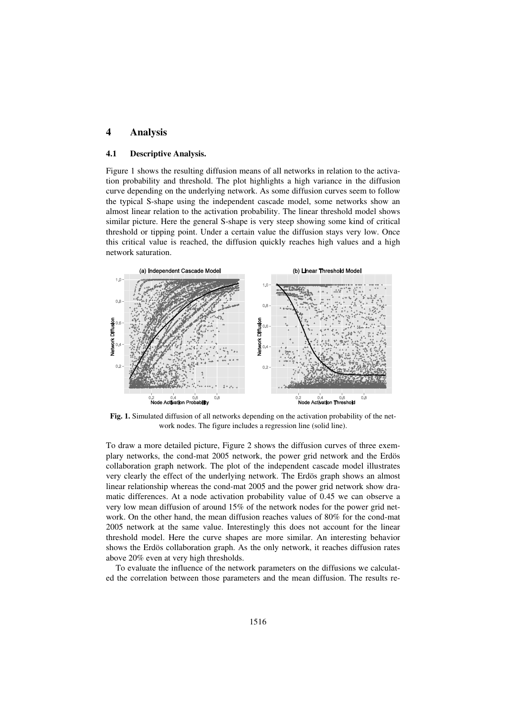## **4 Analysis**

#### **4.1 Descriptive Analysis.**

Figure 1 shows the resulting diffusion means of all networks in relation to the activation probability and threshold. The plot highlights a high variance in the diffusion curve depending on the underlying network. As some diffusion curves seem to follow the typical S-shape using the independent cascade model, some networks show an almost linear relation to the activation probability. The linear threshold model shows similar picture. Here the general S-shape is very steep showing some kind of critical threshold or tipping point. Under a certain value the diffusion stays very low. Once this critical value is reached, the diffusion quickly reaches high values and a high network saturation.



**Fig. 1.** Simulated diffusion of all networks depending on the activation probability of the network nodes. The figure includes a regression line (solid line).

To draw a more detailed picture, Figure 2 shows the diffusion curves of three exemplary networks, the cond-mat 2005 network, the power grid network and the Erdös collaboration graph network. The plot of the independent cascade model illustrates very clearly the effect of the underlying network. The Erdös graph shows an almost linear relationship whereas the cond-mat 2005 and the power grid network show dramatic differences. At a node activation probability value of 0.45 we can observe a very low mean diffusion of around 15% of the network nodes for the power grid network. On the other hand, the mean diffusion reaches values of 80% for the cond-mat 2005 network at the same value. Interestingly this does not account for the linear threshold model. Here the curve shapes are more similar. An interesting behavior shows the Erdös collaboration graph. As the only network, it reaches diffusion rates above 20% even at very high thresholds.

To evaluate the influence of the network parameters on the diffusions we calculated the correlation between those parameters and the mean diffusion. The results re-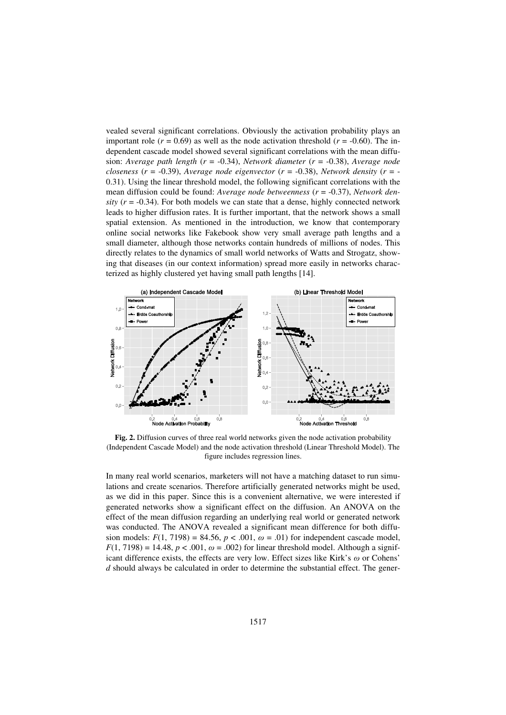vealed several significant correlations. Obviously the activation probability plays an important role ( $r = 0.69$ ) as well as the node activation threshold ( $r = -0.60$ ). The independent cascade model showed several significant correlations with the mean diffusion: *Average path length* (*r* = -0.34), *Network diameter* (*r* = -0.38), *Average node closeness* ( $r = -0.39$ ), *Average node eigenvector* ( $r = -0.38$ ), *Network density* ( $r = -0.39$ ) 0.31). Using the linear threshold model, the following significant correlations with the mean diffusion could be found: *Average node betweenness* (*r* = -0.37), *Network den* $sity$  ( $r = -0.34$ ). For both models we can state that a dense, highly connected network leads to higher diffusion rates. It is further important, that the network shows a small spatial extension. As mentioned in the introduction, we know that contemporary online social networks like Fakebook show very small average path lengths and a small diameter, although those networks contain hundreds of millions of nodes. This directly relates to the dynamics of small world networks of Watts and Strogatz, showing that diseases (in our context information) spread more easily in networks characterized as highly clustered yet having small path lengths [14].



**Fig. 2.** Diffusion curves of three real world networks given the node activation probability (Independent Cascade Model) and the node activation threshold (Linear Threshold Model). The figure includes regression lines.

In many real world scenarios, marketers will not have a matching dataset to run simulations and create scenarios. Therefore artificially generated networks might be used, as we did in this paper. Since this is a convenient alternative, we were interested if generated networks show a significant effect on the diffusion. An ANOVA on the effect of the mean diffusion regarding an underlying real world or generated network was conducted. The ANOVA revealed a significant mean difference for both diffusion models:  $F(1, 7198) = 84.56$ ,  $p < .001$ ,  $\omega = .01$ ) for independent cascade model,  $F(1, 7198) = 14.48$ ,  $p < .001$ ,  $\omega = .002$ ) for linear threshold model. Although a significant difference exists, the effects are very low. Effect sizes like Kirk's  $\omega$  or Cohens' *d* should always be calculated in order to determine the substantial effect. The gener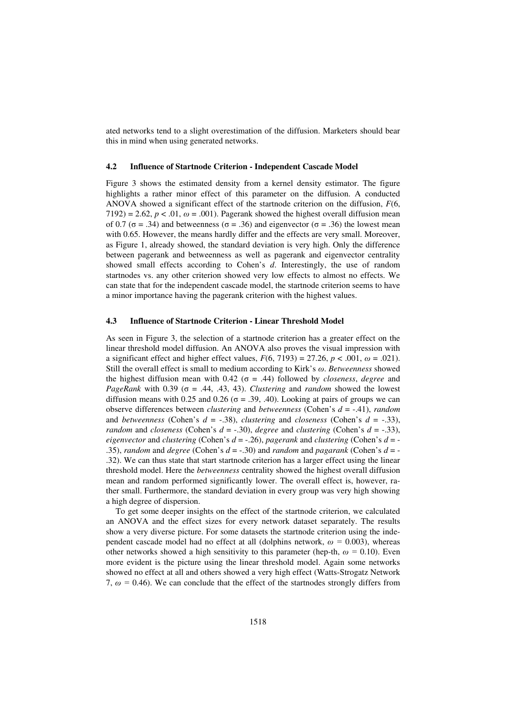ated networks tend to a slight overestimation of the diffusion. Marketers should bear this in mind when using generated networks.

#### **4.2 Influence of Startnode Criterion - Independent Cascade Model**

Figure 3 shows the estimated density from a kernel density estimator. The figure highlights a rather minor effect of this parameter on the diffusion. A conducted ANOVA showed a significant effect of the startnode criterion on the diffusion, *F*(6, 7192) = 2.62,  $p < .01$ ,  $\omega = .001$ ). Pagerank showed the highest overall diffusion mean of 0.7 ( $\sigma$  = .34) and betweenness ( $\sigma$  = .36) and eigenvector ( $\sigma$  = .36) the lowest mean with 0.65. However, the means hardly differ and the effects are very small. Moreover, as Figure 1, already showed, the standard deviation is very high. Only the difference between pagerank and betweenness as well as pagerank and eigenvector centrality showed small effects according to Cohen's *d*. Interestingly, the use of random startnodes vs. any other criterion showed very low effects to almost no effects. We can state that for the independent cascade model, the startnode criterion seems to have a minor importance having the pagerank criterion with the highest values.

#### **4.3 Influence of Startnode Criterion - Linear Threshold Model**

As seen in Figure 3, the selection of a startnode criterion has a greater effect on the linear threshold model diffusion. An ANOVA also proves the visual impression with a significant effect and higher effect values,  $F(6, 7193) = 27.26$ ,  $p < .001$ ,  $\omega = .021$ ). Still the overall effect is small to medium according to Kirk's の. *Betweenness* showed the highest diffusion mean with  $0.42$  ( $\sigma$  = .44) followed by *closeness*, *degree* and *PageRank* with 0.39 ( $\sigma$  = .44, .43, 43). *Clustering* and *random* showed the lowest diffusion means with 0.25 and 0.26 ( $\sigma$  = .39, .40). Looking at pairs of groups we can observe differences between *clustering* and *betweenness* (Cohen's *d* = -.41), *random* and *betweenness* (Cohen's  $d = -.38$ ), *clustering* and *closeness* (Cohen's  $d = -.33$ ), *random* and *closeness* (Cohen's  $d = -.30$ ), *degree* and *clustering* (Cohen's  $d = -.33$ ), *eigenvector* and *clustering* (Cohen's *d* = -.26), *pagerank* and *clustering* (Cohen's *d* = - .35), *random* and *degree* (Cohen's  $d = -.30$ ) and *random* and *pagarank* (Cohen's  $d = -1$ .32). We can thus state that start startnode criterion has a larger effect using the linear threshold model. Here the *betweenness* centrality showed the highest overall diffusion mean and random performed significantly lower. The overall effect is, however, rather small. Furthermore, the standard deviation in every group was very high showing a high degree of dispersion.

To get some deeper insights on the effect of the startnode criterion, we calculated an ANOVA and the effect sizes for every network dataset separately. The results show a very diverse picture. For some datasets the startnode criterion using the independent cascade model had no effect at all (dolphins network,  $\omega = 0.003$ ), whereas other networks showed a high sensitivity to this parameter (hep-th,  $\omega = 0.10$ ). Even more evident is the picture using the linear threshold model. Again some networks showed no effect at all and others showed a very high effect (Watts-Strogatz Network 7,  $\omega$  = 0.46). We can conclude that the effect of the startnodes strongly differs from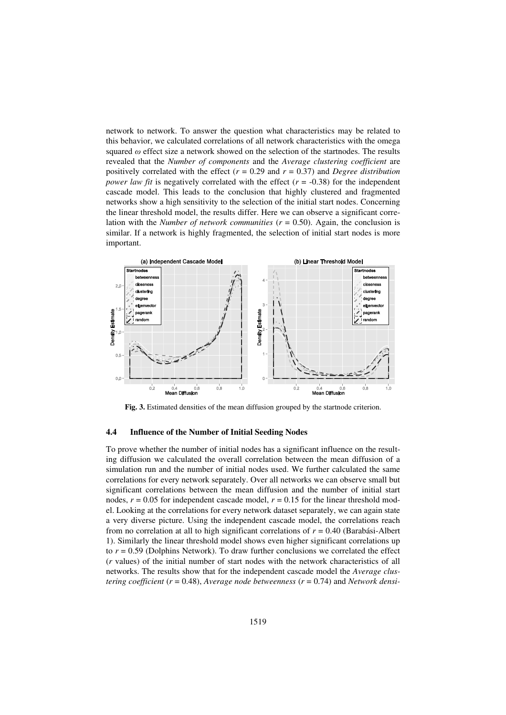network to network. To answer the question what characteristics may be related to this behavior, we calculated correlations of all network characteristics with the omega squared  $\omega$  effect size a network showed on the selection of the startnodes. The results revealed that the *Number of components* and the *Average clustering coefficient* are positively correlated with the effect ( $r = 0.29$  and  $r = 0.37$ ) and *Degree distribution power law fit* is negatively correlated with the effect  $(r = -0.38)$  for the independent cascade model. This leads to the conclusion that highly clustered and fragmented networks show a high sensitivity to the selection of the initial start nodes. Concerning the linear threshold model, the results differ. Here we can observe a significant correlation with the *Number of network communities*  $(r = 0.50)$ . Again, the conclusion is similar. If a network is highly fragmented, the selection of initial start nodes is more important.



**Fig. 3.** Estimated densities of the mean diffusion grouped by the startnode criterion.

#### **4.4 Influence of the Number of Initial Seeding Nodes**

To prove whether the number of initial nodes has a significant influence on the resulting diffusion we calculated the overall correlation between the mean diffusion of a simulation run and the number of initial nodes used. We further calculated the same correlations for every network separately. Over all networks we can observe small but significant correlations between the mean diffusion and the number of initial start nodes,  $r = 0.05$  for independent cascade model,  $r = 0.15$  for the linear threshold model. Looking at the correlations for every network dataset separately, we can again state a very diverse picture. Using the independent cascade model, the correlations reach from no correlation at all to high significant correlations of *r* = 0.40 (Barabási-Albert 1). Similarly the linear threshold model shows even higher significant correlations up to  $r = 0.59$  (Dolphins Network). To draw further conclusions we correlated the effect (*r* values) of the initial number of start nodes with the network characteristics of all networks. The results show that for the independent cascade model the *Average clustering coefficient* (*r* = 0.48), *Average node betweenness* (*r* = 0.74) and *Network densi-*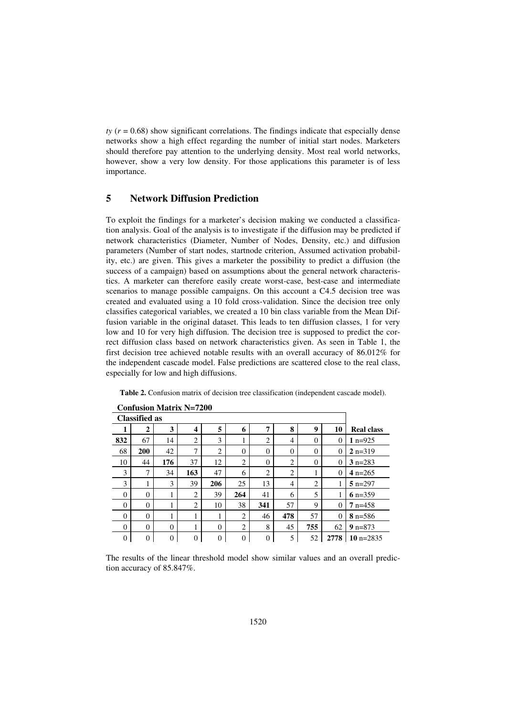$t\bar{y}$  ( $r = 0.68$ ) show significant correlations. The findings indicate that especially dense networks show a high effect regarding the number of initial start nodes. Marketers should therefore pay attention to the underlying density. Most real world networks, however, show a very low density. For those applications this parameter is of less importance.

# **5 Network Diffusion Prediction**

To exploit the findings for a marketer's decision making we conducted a classification analysis. Goal of the analysis is to investigate if the diffusion may be predicted if network characteristics (Diameter, Number of Nodes, Density, etc.) and diffusion parameters (Number of start nodes, startnode criterion, Assumed activation probability, etc.) are given. This gives a marketer the possibility to predict a diffusion (the success of a campaign) based on assumptions about the general network characteristics. A marketer can therefore easily create worst-case, best-case and intermediate scenarios to manage possible campaigns. On this account a C4.5 decision tree was created and evaluated using a 10 fold cross-validation. Since the decision tree only classifies categorical variables, we created a 10 bin class variable from the Mean Diffusion variable in the original dataset. This leads to ten diffusion classes, 1 for very low and 10 for very high diffusion. The decision tree is supposed to predict the correct diffusion class based on network characteristics given. As seen in Table 1, the first decision tree achieved notable results with an overall accuracy of 86.012% for the independent cascade model. False predictions are scattered close to the real class, especially for low and high diffusions.

**Table 2.** Confusion matrix of decision tree classification (independent cascade model).

| <b>Classified as</b> |          |          |                  |                |                |                |                |          |                |                   |
|----------------------|----------|----------|------------------|----------------|----------------|----------------|----------------|----------|----------------|-------------------|
| л                    | 2        | 3        | $\boldsymbol{4}$ | 5              | 6              | 7              | 8              | 9        | 10             | <b>Real class</b> |
| 832                  | 67       | 14       | $\overline{2}$   | 3              | ı.             | $\overline{2}$ | $\overline{4}$ | 0        | 0              | 1 $n=925$         |
| 68                   | 200      | 42       | $\mathbf{r}$     | $\overline{2}$ | $\theta$       | $\overline{0}$ | $\theta$       | $\theta$ | $\overline{0}$ | $2 n=319$         |
| 10                   | 44       | 176      | 37               | 12             | 2              | $\overline{0}$ | 2              | $\theta$ | $\Omega$       | $3 n=283$         |
| 3                    | 7        | 34       | 163              | 47             | 6              | $\overline{2}$ | $\overline{2}$ |          | 0              | 4 $n=265$         |
| 3                    | 1        | 3        | 39               | 206            | 25             | 13             | $\overline{4}$ | 2        |                | $5 n=297$         |
| $\theta$             | $\theta$ | 1<br>л   | 2                | 39             | 264            | 41             | 6              | 5        |                | 6 n= $359$        |
| $\theta$             | $\Omega$ | ٥<br>ш   | $\overline{2}$   | 10             | 38             | 341            | 57             | 9        | $\theta$       | $7 n=458$         |
| 0                    | $\theta$ | ٠<br>1   | ı                |                | 2              | 46             | 478            | 57       | $\theta$       | $8 n=586$         |
| 0                    | $\theta$ | $\Omega$ |                  | $\Omega$       | 2              | 8              | 45             | 755      | 62             | $9 n=873$         |
| $\overline{0}$       | 0        | 0        | $\overline{0}$   | $\Omega$       | $\overline{0}$ | $\overline{0}$ | 5              | 52       | 2778           | 10 $n=2835$       |

**Confusion Matrix N=7200** 

The results of the linear threshold model show similar values and an overall prediction accuracy of 85.847%.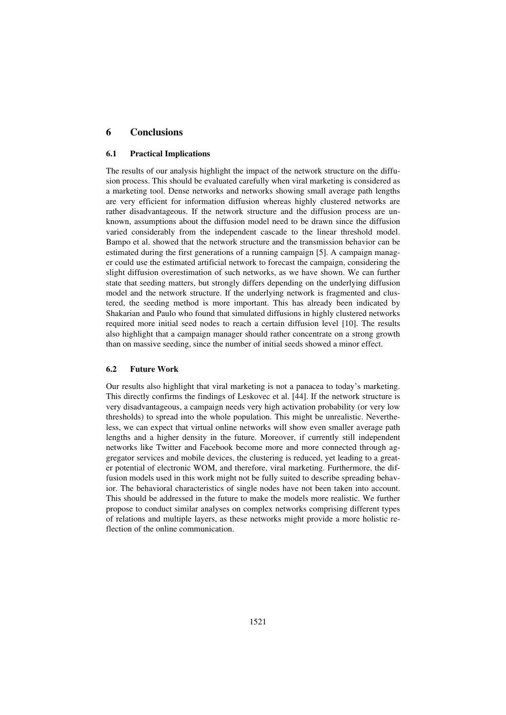# **6 Conclusions**

#### **6.1 Practical Implications**

The results of our analysis highlight the impact of the network structure on the diffusion process. This should be evaluated carefully when viral marketing is considered as a marketing tool. Dense networks and networks showing small average path lengths are very efficient for information diffusion whereas highly clustered networks are rather disadvantageous. If the network structure and the diffusion process are unknown, assumptions about the diffusion model need to be drawn since the diffusion varied considerably from the independent cascade to the linear threshold model. Bampo et al. showed that the network structure and the transmission behavior can be estimated during the first generations of a running campaign [5]. A campaign manager could use the estimated artificial network to forecast the campaign, considering the slight diffusion overestimation of such networks, as we have shown. We can further state that seeding matters, but strongly differs depending on the underlying diffusion model and the network structure. If the underlying network is fragmented and clustered, the seeding method is more important. This has already been indicated by Shakarian and Paulo who found that simulated diffusions in highly clustered networks required more initial seed nodes to reach a certain diffusion level [10]. The results also highlight that a campaign manager should rather concentrate on a strong growth than on massive seeding, since the number of initial seeds showed a minor effect.

#### **6.2 Future Work**

Our results also highlight that viral marketing is not a panacea to today's marketing. This directly confirms the findings of Leskovec et al. [44]. If the network structure is very disadvantageous, a campaign needs very high activation probability (or very low thresholds) to spread into the whole population. This might be unrealistic. Nevertheless, we can expect that virtual online networks will show even smaller average path lengths and a higher density in the future. Moreover, if currently still independent networks like Twitter and Facebook become more and more connected through aggregator services and mobile devices, the clustering is reduced, yet leading to a greater potential of electronic WOM, and therefore, viral marketing. Furthermore, the diffusion models used in this work might not be fully suited to describe spreading behavior. The behavioral characteristics of single nodes have not been taken into account. This should be addressed in the future to make the models more realistic. We further propose to conduct similar analyses on complex networks comprising different types of relations and multiple layers, as these networks might provide a more holistic reflection of the online communication.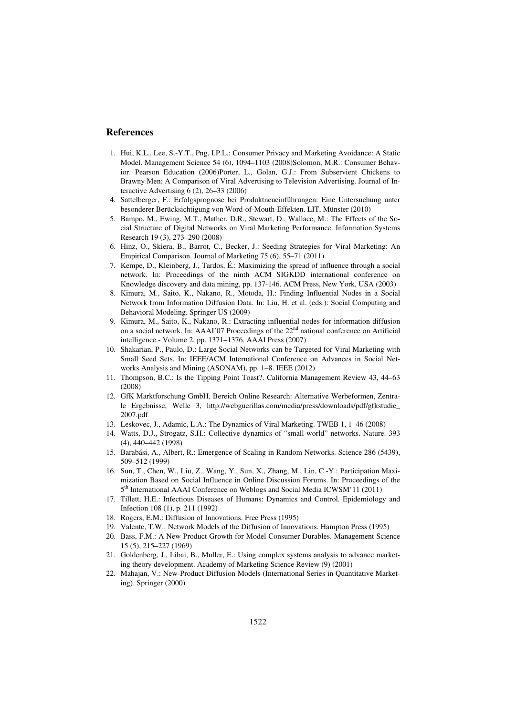# **References**

- 1. Hui, K.L., Lee, S.-Y.T., Png, I.P.L.: Consumer Privacy and Marketing Avoidance: A Static Model. Management Science 54 (6), 1094–1103 (2008)Solomon, M.R.: Consumer Behavior. Pearson Education (2006)Porter, L., Golan, G.J.: From Subservient Chickens to Brawny Men: A Comparison of Viral Advertising to Television Advertising. Journal of Interactive Advertising 6 (2), 26–33 (2006)
- 4. Sattelberger, F.: Erfolgsprognose bei Produktneueinführungen: Eine Untersuchung unter besonderer Berücksichtigung von Word-of-Mouth-Effekten. LIT, Münster (2010)
- 5. Bampo, M., Ewing, M.T., Mather, D.R., Stewart, D., Wallace, M.: The Effects of the Social Structure of Digital Networks on Viral Marketing Performance. Information Systems Research 19 (3), 273–290 (2008)
- 6. Hinz, O., Skiera, B., Barrot, C., Becker, J.: Seeding Strategies for Viral Marketing: An Empirical Comparison. Journal of Marketing 75 (6), 55–71 (2011)
- 7. Kempe, D., Kleinberg, J., Tardos, É.: Maximizing the spread of influence through a social network. In: Proceedings of the ninth ACM SIGKDD international conference on Knowledge discovery and data mining, pp. 137-146. ACM Press, New York, USA (2003)
- 8. Kimura, M., Saito, K., Nakano, R., Motoda, H.: Finding Influential Nodes in a Social Network from Information Diffusion Data. In: Liu, H. et al. (eds.): Social Computing and Behavioral Modeling. Springer US (2009)
- 9. Kimura, M., Saito, K., Nakano, R.: Extracting influential nodes for information diffusion on a social network. In: AAAI'07 Proceedings of the 22<sup>nd</sup> national conference on Artificial intelligence - Volume 2, pp. 1371–1376. AAAI Press (2007)
- 10. Shakarian, P., Paulo, D.: Large Social Networks can be Targeted for Viral Marketing with Small Seed Sets. In: IEEE/ACM International Conference on Advances in Social Networks Analysis and Mining (ASONAM), pp. 1–8. IEEE (2012)
- 11. Thompson, B.C.: Is the Tipping Point Toast?. California Management Review 43, 44–63 (2008)
- 12. GfK Marktforschung GmbH, Bereich Online Research: Alternative Werbeformen, Zentrale Ergebnisse, Welle 3, http://webguerillas.com/media/press/downloads/pdf/gfkstudie\_ 2007.pdf
- 13. Leskovec, J., Adamic, L.A.: The Dynamics of Viral Marketing. TWEB 1, 1–46 (2008)
- 14. Watts, D.J., Strogatz, S.H.: Collective dynamics of "small-world" networks. Nature. 393 (4), 440–442 (1998)
- 15. Barabási, A., Albert, R.: Emergence of Scaling in Random Networks. Science 286 (5439), 509–512 (1999)
- 16. Sun, T., Chen, W., Liu, Z., Wang, Y., Sun, X., Zhang, M., Lin, C.-Y.: Participation Maximization Based on Social Influence in Online Discussion Forums. In: Proceedings of the 5<sup>th</sup> International AAAI Conference on Weblogs and Social Media ICWSM'11 (2011)
- 17. Tillett, H.E.: Infectious Diseases of Humans: Dynamics and Control. Epidemiology and Infection 108 (1), p. 211 (1992)
- 18. Rogers, E.M.: Diffusion of Innovations. Free Press (1995)
- 19. Valente, T.W.: Network Models of the Diffusion of Innovations. Hampton Press (1995)
- 20. Bass, F.M.: A New Product Growth for Model Consumer Durables. Management Science 15 (5), 215–227 (1969)
- 21. Goldenberg, J., Libai, B., Muller, E.: Using complex systems analysis to advance marketing theory development. Academy of Marketing Science Review (9) (2001)
- 22. Mahajan, V.: New-Product Diffusion Models (International Series in Quantitative Marketing). Springer (2000)